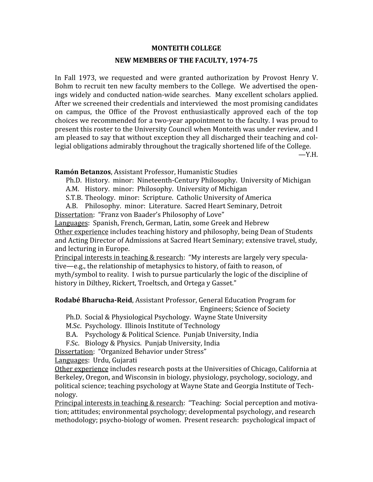## **MONTEITH
COLLEGE**

## **NEW MEMBERS OF THE FACULTY, 1974-75**

In Fall 1973, we requested and were granted authorization by Provost Henry V. Bohm to recruit ten new faculty members to the College. We advertised the openings
widely
and
conducted
nation‐wide
searches.

Many
excellent
scholars
applied. After we screened their credentials and interviewed the most promising candidates on campus, the Office of the Provost enthusiastically approved each of the top choices we recommended for a two-year appointment to the faculty. I was proud to present this roster to the University Council when Monteith was under review, and I am pleased to say that without exception they all discharged their teaching and collegial
obligations
admirably
throughout
the
tragically
shortened
life
of
the
College.

 $-Y.H.$ 

**Ramón
Betanzos**,
Assistant
Professor,
Humanistic
Studies

Ph.D. History. minor: Nineteenth-Century Philosophy. University of Michigan

A.M. History.

minor:

Philosophy.

University
of
Michigan

S.T.B. Theology. minor: Scripture. Catholic University of America

A.B. Philosophy.

minor:

Literature.

Sacred
Heart
Seminary,
Detroit Dissertation: "Franz von Baader's Philosophy of Love"

Languages:

Spanish,
French,
German,
Latin,
some
Greek
and
Hebrew Other experience includes teaching history and philosophy, being Dean of Students and
Acting
Director
of
Admissions
at
Sacred
Heart
Seminary;
extensive
travel,
study, and
lecturing
in
Europe.

Principal interests in teaching & research: "My interests are largely very speculative—e.g., the relationship of metaphysics to history, of faith to reason, of myth/symbol to reality. I wish to pursue particularly the logic of the discipline of history in Dilthey, Rickert, Troeltsch, and Ortega y Gasset."

**Rodabé Bharucha-Reid, Assistant Professor, General Education Program for** 

Engineers;
Science
of
Society

Ph.D. Social & Physiological Psychology. Wayne State University

M.Sc. Psychology. Illinois Institute of Technology

B.A. Psychology
&
Political
Science.

Punjab
University,
India

F.Sc. Biology
&
Physics.

Punjab
University,
India

Dissertation:

"Organized
Behavior
under
Stress"

Languages: Urdu, Gujarati

Other experience includes research posts at the Universities of Chicago, California at Berkeley, Oregon, and Wisconsin in biology, physiology, psychology, sociology, and political
science;
teaching
psychology
at
Wayne
State
and
Georgia
Institute
of
Tech‐ nology.

Principal interests in teaching & research: "Teaching: Social perception and motivation;
attitudes;
environmental
psychology;
developmental
psychology,
and
research methodology; psycho-biology of women. Present research: psychological impact of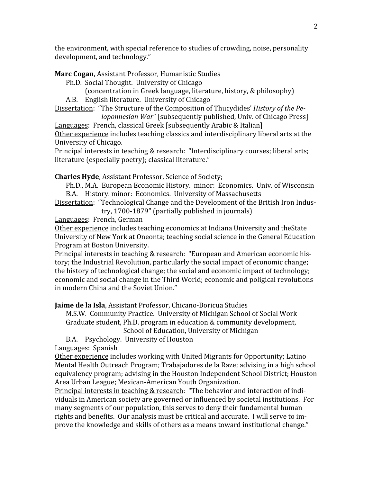the
environment,
with
special
reference
to
studies
of
crowding,
noise,
personality development,
and
technology."

Marc Cogan, Assistant Professor, Humanistic Studies

Ph.D. Social
Thought.

University
of
Chicago

(concentration
in
Greek
language,
literature,
history,
&
philosophy) A.B. English
literature.

University
of
Chicago

Dissertation:

"The
Structure
of
the
Composition
of
Thucydides' *History
of
the
Pe-*

*loponnesian War*" [subsequently published, Univ. of Chicago Press] Languages: French, classical Greek [subsequently Arabic & Italian]

Other experience includes teaching classics and interdisciplinary liberal arts at the University
of
Chicago.

Principal interests in teaching & research: "Interdisciplinary courses; liberal arts; literature
(especially
poetry);
classical
literature."

## **Charles
Hyde**,
Assistant
Professor,
Science
of
Society;

Ph.D.,
M.A.

European
Economic
History.

minor:

Economics.

Univ.
of
Wisconsin B.A. History.
minor:

Economics.

University
of
Massachusetts

Dissertation: "Technological Change and the Development of the British Iron Industry,
1700‐1879"
(partially
published
in
journals)

Languages:

French,
German

Other experience includes teaching economics at Indiana University and the State University of New York at Oneonta; teaching social science in the General Education Program
at
Boston
University.

Principal interests in teaching & research: "European and American economic history;
the
Industrial
Revolution,
particularly
the
social
impact
of
economic
change; the
history
of
technological
change;
the
social
and
economic
impact
of
technology; economic
and
social
change
in
the
Third
World;
economic
and
poligical
revolutions in
modern
China
and
the
Soviet
Union."

**Jaime
de
la
Isla**,
Assistant
Professor,
Chicano‐Boricua
Studies

M.S.W.

Community
Practice.

University
of
Michigan
School
of
Social
Work Graduate
student,
Ph.D.
program
in
education
&
community
development,

School
of
Education,
University
of
Michigan

B.A. Psychology.

University
of
Houston

Languages:

Spanish

Other
experience
includes
working
with
United
Migrants
for
Opportunity;
Latino Mental
Health
Outreach
Program;
Trabajadores
de
la
Raze;
advising
in
a
high
school equivalency program; advising in the Houston Independent School District; Houston Area
Urban
League;
Mexican‐American
Youth
Organization.

Principal interests in teaching & research: "The behavior and interaction of individuals in American society are governed or influenced by societal institutions. For many
segments
of
our
population,
this
serves
to
deny
their
fundamental
human rights and benefits. Our analysis must be critical and accurate. I will serve to improve
the
knowledge
and
skills
of
others
as
a
means
toward
institutional
change."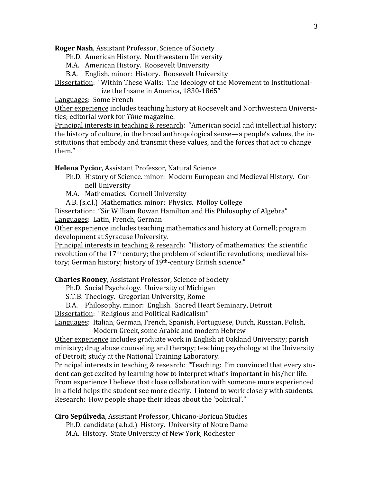**Roger
Nash**,
Assistant
Professor,
Science
of
Society

Ph.D. American
History.

Northwestern
University

M.A. American
History.

Roosevelt
University

B.A. English.
minor:

History.

Roosevelt
University

Dissertation: "Within These Walls: The Ideology of the Movement to Institutionalize
the
Insane
in
America,
1830‐1865"

Languages:

Some
French

Other experience includes teaching history at Roosevelt and Northwestern Universities;
editorial
work
for *Time*magazine.

Principal interests in teaching & research: "American social and intellectual history; the history of culture, in the broad anthropological sense—a people's values, the institutions that embody and transmit these values, and the forces that act to change them."

**Helena
Pycior**,
Assistant
Professor,
Natural
Science

- Ph.D. History of Science. minor: Modern European and Medieval History. Cornell
University
- M.A. Mathematics.

Cornell
University

A.B.
(s.c.l.)

Mathematics.
minor:

Physics.

Molloy
College

Dissertation: "Sir William Rowan Hamilton and His Philosophy of Algebra" Languages: Latin, French, German

Other experience includes teaching mathematics and history at Cornell; program development
at
Syracuse
University.

Principal interests in teaching & research: "History of mathematics; the scientific revolution of the 17<sup>th</sup> century; the problem of scientific revolutions; medieval history; German history; history of 19<sup>th</sup>-century British science."

**Charles
Rooney**,
Assistant
Professor,
Science
of
Society

- Ph.D. Social
Psychology.

University
of
Michigan
- S.T.B. Theology.

Gregorian
University,
Rome
- B.A. Philosophy.
minor:

English.

Sacred
Heart
Seminary,
Detroit

Dissertation: "Religious and Political Radicalism"

Languages: Italian, German, French, Spanish, Portuguese, Dutch, Russian, Polish, Modern
Greek,
some
Arabic
and
modern
Hebrew

Other experience includes graduate work in English at Oakland University; parish ministry; drug abuse counseling and therapy; teaching psychology at the University of Detroit; study at the National Training Laboratory.

Principal interests in teaching & research: "Teaching: I'm convinced that every student
can
get
excited
by
learning
how
to
interpret
what's
important
in
his/her
life. From experience I believe that close collaboration with someone more experienced in a field helps the student see more clearly. I intend to work closely with students. Research: How people shape their ideas about the 'political'."

**Ciro
Sepúlveda**,
Assistant
Professor,
Chicano‐Boricua
Studies

Ph.D.
candidate
(a.b.d.)

History.

University
of
Notre
Dame M.A.

History.

State
University
of
New
York,
Rochester